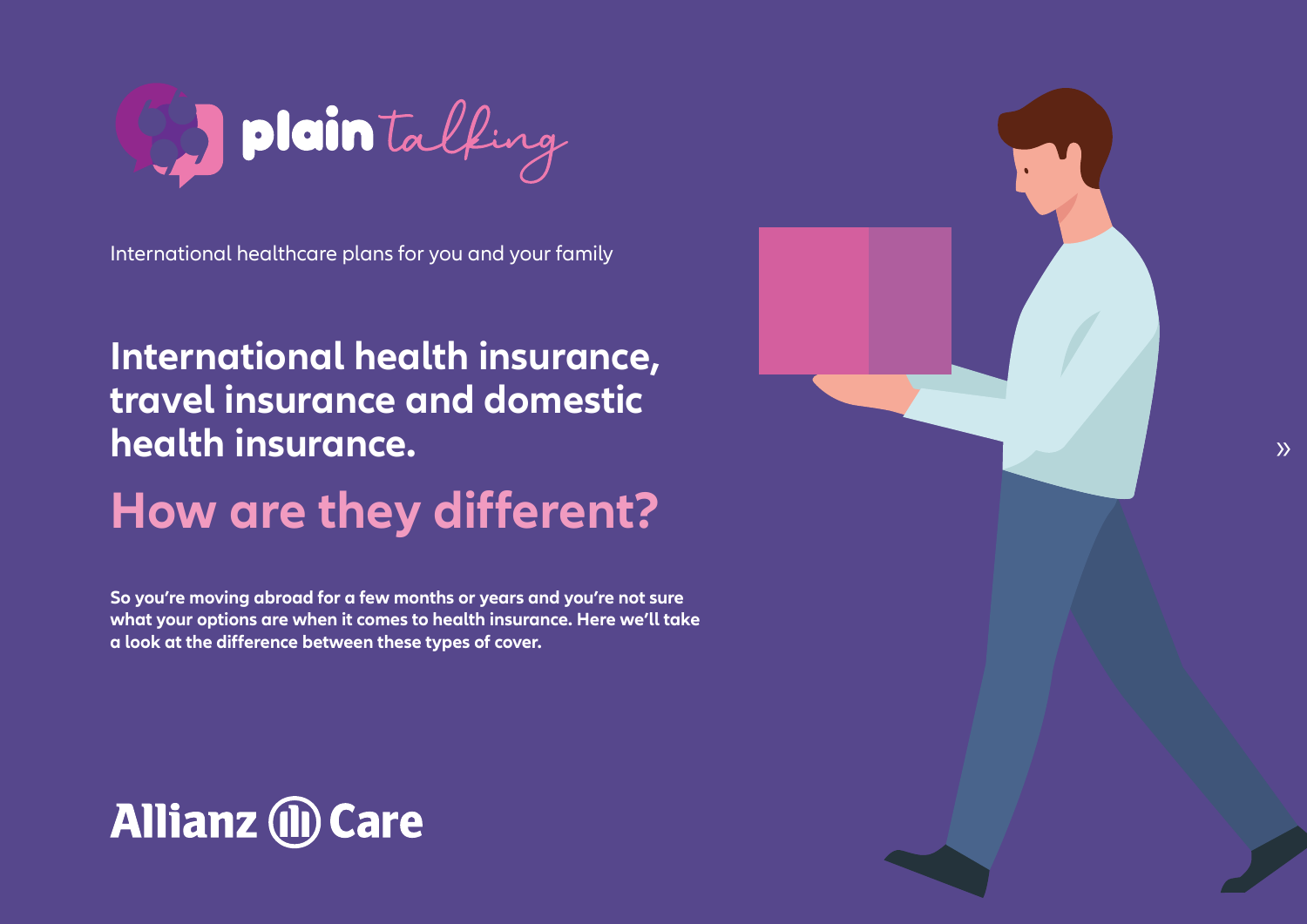

International healthcare plans for you and your family

### **International health insurance, travel insurance and domestic health** insurance.

## **How are they different?**

**So you're moving abroad for a few months or years and you're not sure** what your options are when it comes to health insurance. Here we'll take a look at the difference between these types of cover.

# **Allianz (ii) Care**

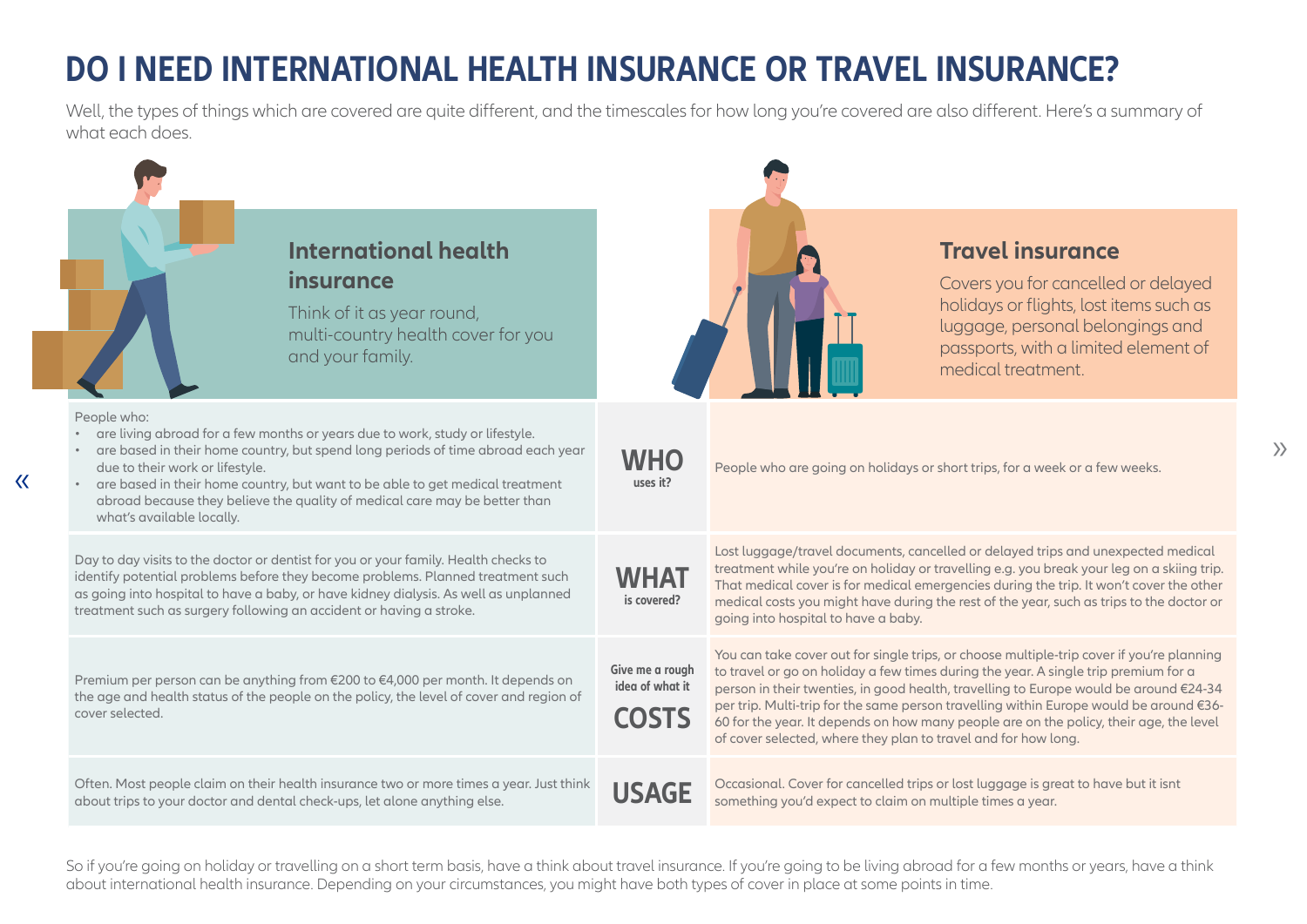### *DO I NEED INTERNATIONAL HEALTH INSURANCE OR TRAVEL INSURANCE?*

Well, the types of things which are covered are quite different, and the timescales for how long you're covered are also different. Here's a summary of what each does



So if you're going on holiday or travelling on a short term basis, have a think about travel insurance. If you're going to be living abroad for a few months or years, have a think about international health insurance. Depending on your circumstances, you might have both types of cover in place at some points in time.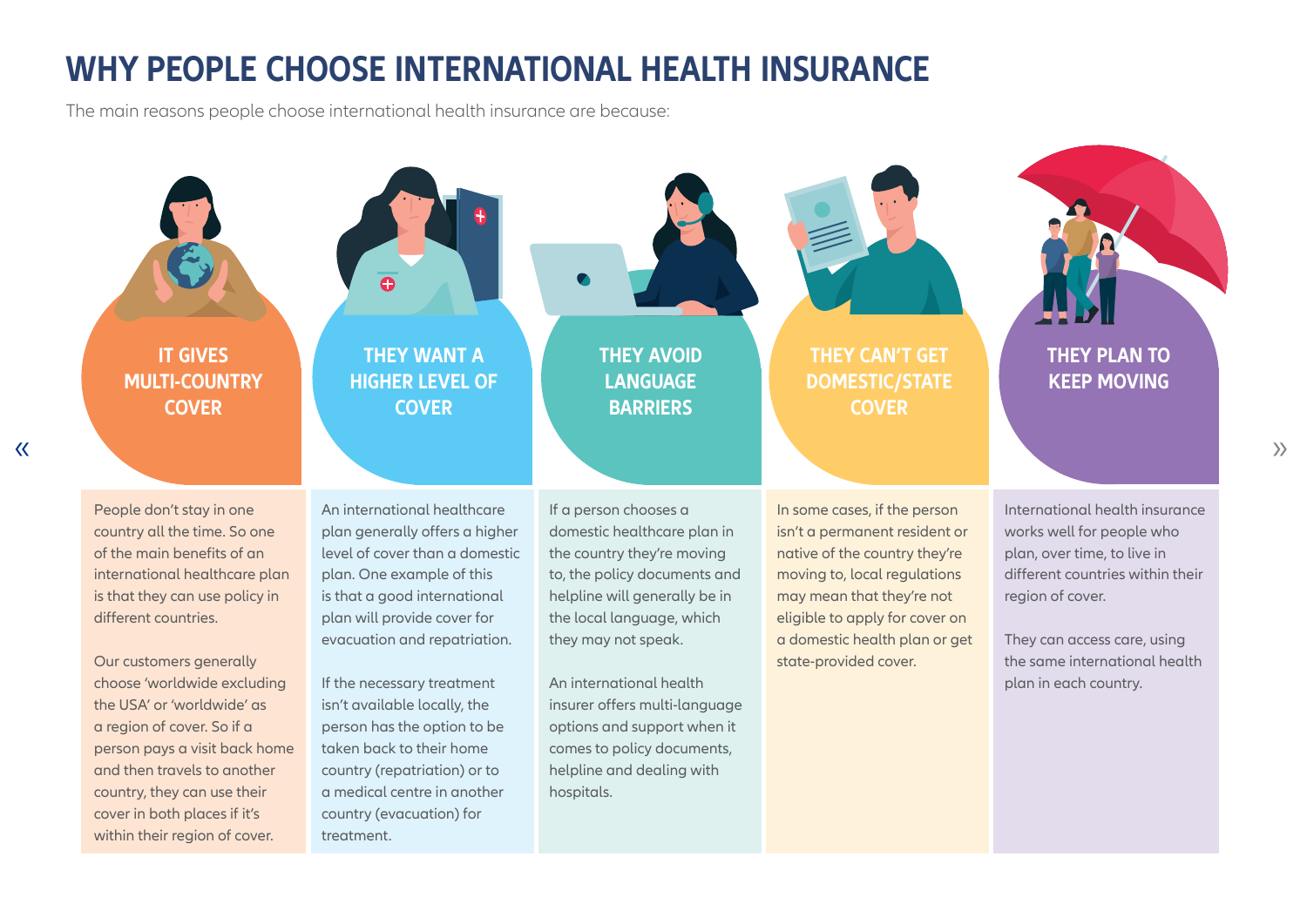#### **WHY PEOPLE CHOOSE INTERNATIONAL HEALTH INSURANCE**

The main reasons people choose international health insurance are because:



 $\left\langle \right\rangle$